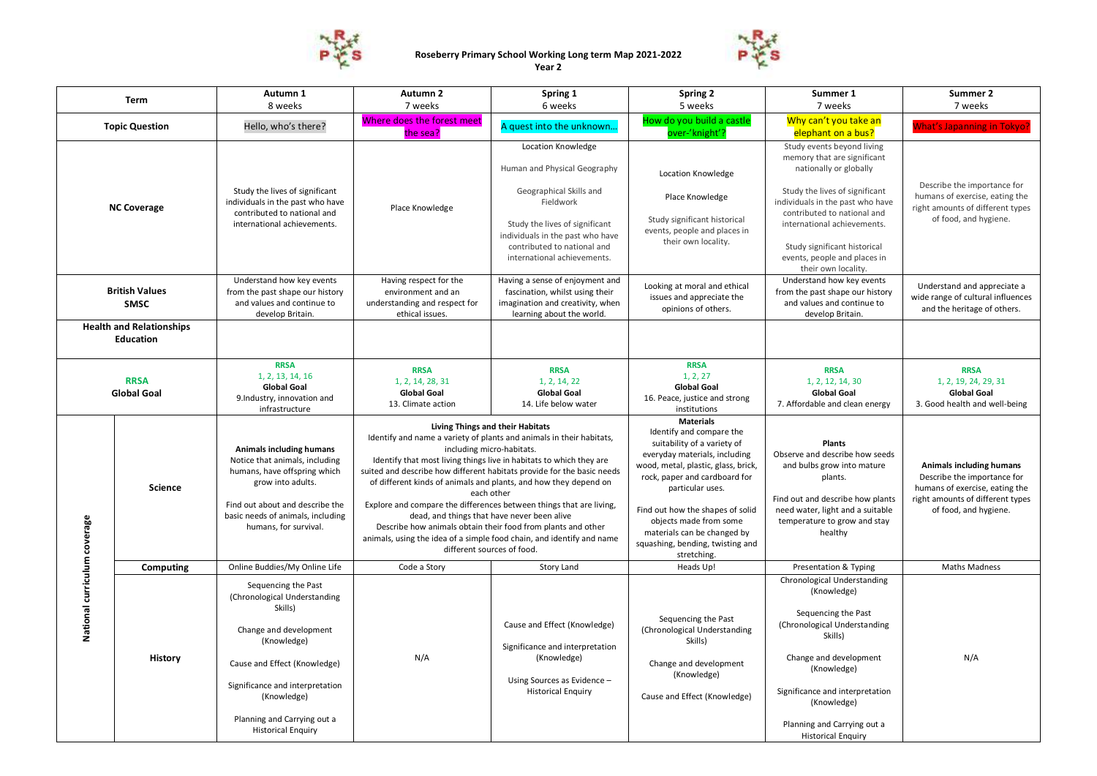



| Term                                                |                | Autumn 1                                                                                                                                                                                                                                              | Autumn 2                                                                                                                                                                                                                                                                                                                                                                                                                                                                                                                                                                                                                                                              | Spring 1                                                                                                                                                                                                                       | Spring 2                                                                                                                                                                                                                                                                                                                                                 | Summer 1                                                                                                                                                                                                                                                                                                       | Summer 2                                                                                                                                               |
|-----------------------------------------------------|----------------|-------------------------------------------------------------------------------------------------------------------------------------------------------------------------------------------------------------------------------------------------------|-----------------------------------------------------------------------------------------------------------------------------------------------------------------------------------------------------------------------------------------------------------------------------------------------------------------------------------------------------------------------------------------------------------------------------------------------------------------------------------------------------------------------------------------------------------------------------------------------------------------------------------------------------------------------|--------------------------------------------------------------------------------------------------------------------------------------------------------------------------------------------------------------------------------|----------------------------------------------------------------------------------------------------------------------------------------------------------------------------------------------------------------------------------------------------------------------------------------------------------------------------------------------------------|----------------------------------------------------------------------------------------------------------------------------------------------------------------------------------------------------------------------------------------------------------------------------------------------------------------|--------------------------------------------------------------------------------------------------------------------------------------------------------|
|                                                     |                | 8 weeks                                                                                                                                                                                                                                               | 7 weeks                                                                                                                                                                                                                                                                                                                                                                                                                                                                                                                                                                                                                                                               | 6 weeks                                                                                                                                                                                                                        | 5 weeks                                                                                                                                                                                                                                                                                                                                                  | 7 weeks                                                                                                                                                                                                                                                                                                        | 7 weeks                                                                                                                                                |
| <b>Topic Question</b>                               |                | Hello, who's there?                                                                                                                                                                                                                                   | Where does the forest meet<br>the sea?                                                                                                                                                                                                                                                                                                                                                                                                                                                                                                                                                                                                                                | A quest into the unknown                                                                                                                                                                                                       | How do you build a castle<br>over-'knight'?                                                                                                                                                                                                                                                                                                              | Why can't you take an<br>elephant on a bus?                                                                                                                                                                                                                                                                    | <b>Nhat's Japanning in Tokyo?</b>                                                                                                                      |
| <b>NC Coverage</b>                                  |                | Study the lives of significant<br>individuals in the past who have<br>contributed to national and<br>international achievements.                                                                                                                      | Place Knowledge                                                                                                                                                                                                                                                                                                                                                                                                                                                                                                                                                                                                                                                       | Location Knowledge<br>Human and Physical Geography<br>Geographical Skills and<br>Fieldwork<br>Study the lives of significant<br>individuals in the past who have<br>contributed to national and<br>international achievements. | Location Knowledge<br>Place Knowledge<br>Study significant historical<br>events, people and places in<br>their own locality.                                                                                                                                                                                                                             | Study events beyond living<br>memory that are significant<br>nationally or globally<br>Study the lives of significant<br>individuals in the past who have<br>contributed to national and<br>international achievements.<br>Study significant historical<br>events, people and places in<br>their own locality. | Describe the importance for<br>humans of exercise, eating the<br>right amounts of different types<br>of food, and hygiene.                             |
| <b>British Values</b><br><b>SMSC</b>                |                | Understand how key events<br>from the past shape our history<br>and values and continue to<br>develop Britain.                                                                                                                                        | Having respect for the<br>environment and an<br>understanding and respect for<br>ethical issues.                                                                                                                                                                                                                                                                                                                                                                                                                                                                                                                                                                      | Having a sense of enjoyment and<br>fascination, whilst using their<br>imagination and creativity, when<br>learning about the world.                                                                                            | Looking at moral and ethical<br>issues and appreciate the<br>opinions of others.                                                                                                                                                                                                                                                                         | Understand how key events<br>from the past shape our history<br>and values and continue to<br>develop Britain.                                                                                                                                                                                                 | Understand and appreciate a<br>wide range of cultural influences<br>and the heritage of others.                                                        |
| <b>Health and Relationships</b><br><b>Education</b> |                |                                                                                                                                                                                                                                                       |                                                                                                                                                                                                                                                                                                                                                                                                                                                                                                                                                                                                                                                                       |                                                                                                                                                                                                                                |                                                                                                                                                                                                                                                                                                                                                          |                                                                                                                                                                                                                                                                                                                |                                                                                                                                                        |
| <b>RRSA</b><br><b>Global Goal</b>                   |                | <b>RRSA</b><br>1, 2, 13, 14, 16<br><b>Global Goal</b><br>9.Industry, innovation and<br>infrastructure                                                                                                                                                 | <b>RRSA</b><br>1, 2, 14, 28, 31<br><b>Global Goal</b><br>13. Climate action                                                                                                                                                                                                                                                                                                                                                                                                                                                                                                                                                                                           | <b>RRSA</b><br>1, 2, 14, 22<br><b>Global Goal</b><br>14. Life below water                                                                                                                                                      | <b>RRSA</b><br>1, 2, 27<br><b>Global Goal</b><br>16. Peace, justice and strong<br>institutions                                                                                                                                                                                                                                                           | <b>RRSA</b><br>1, 2, 12, 14, 30<br><b>Global Goal</b><br>7. Affordable and clean energy                                                                                                                                                                                                                        | <b>RRSA</b><br>1, 2, 19, 24, 29, 31<br><b>Global Goal</b><br>3. Good health and well-being                                                             |
|                                                     | <b>Science</b> | Animals including humans<br>Notice that animals, including<br>humans, have offspring which<br>grow into adults.<br>Find out about and describe the<br>basic needs of animals, including<br>humans, for survival.                                      | Living Things and their Habitats<br>Identify and name a variety of plants and animals in their habitats,<br>including micro-habitats.<br>Identify that most living things live in habitats to which they are<br>suited and describe how different habitats provide for the basic needs<br>of different kinds of animals and plants, and how they depend on<br>each other<br>Explore and compare the differences between things that are living,<br>dead, and things that have never been alive<br>Describe how animals obtain their food from plants and other<br>animals, using the idea of a simple food chain, and identify and name<br>different sources of food. |                                                                                                                                                                                                                                | <b>Materials</b><br>Identify and compare the<br>suitability of a variety of<br>everyday materials, including<br>wood, metal, plastic, glass, brick,<br>rock, paper and cardboard for<br>particular uses.<br>Find out how the shapes of solid<br>objects made from some<br>materials can be changed by<br>squashing, bending, twisting and<br>stretching. | <b>Plants</b><br>Observe and describe how seeds<br>and bulbs grow into mature<br>plants.<br>Find out and describe how plants<br>need water, light and a suitable<br>temperature to grow and stay<br>healthy                                                                                                    | Animals including humans<br>Describe the importance for<br>humans of exercise, eating the<br>right amounts of different types<br>of food, and hygiene. |
|                                                     | Computing      | Online Buddies/My Online Life                                                                                                                                                                                                                         | Code a Story                                                                                                                                                                                                                                                                                                                                                                                                                                                                                                                                                                                                                                                          | Story Land                                                                                                                                                                                                                     | Heads Up!                                                                                                                                                                                                                                                                                                                                                | Presentation & Typing                                                                                                                                                                                                                                                                                          | <b>Maths Madness</b>                                                                                                                                   |
| National curriculum coverage                        | <b>History</b> | Sequencing the Past<br>(Chronological Understanding<br>Skills)<br>Change and development<br>(Knowledge)<br>Cause and Effect (Knowledge)<br>Significance and interpretation<br>(Knowledge)<br>Planning and Carrying out a<br><b>Historical Enquiry</b> | N/A                                                                                                                                                                                                                                                                                                                                                                                                                                                                                                                                                                                                                                                                   | Cause and Effect (Knowledge)<br>Significance and interpretation<br>(Knowledge)<br>Using Sources as Evidence -<br><b>Historical Enquiry</b>                                                                                     | Sequencing the Past<br>(Chronological Understanding<br>Skills)<br>Change and development<br>(Knowledge)<br>Cause and Effect (Knowledge)                                                                                                                                                                                                                  | Chronological Understanding<br>(Knowledge)<br>Sequencing the Past<br>(Chronological Understanding<br>Skills)<br>Change and development<br>(Knowledge)<br>Significance and interpretation<br>(Knowledge)<br>Planning and Carrying out a<br><b>Historical Enquiry</b>                                            | N/A                                                                                                                                                    |